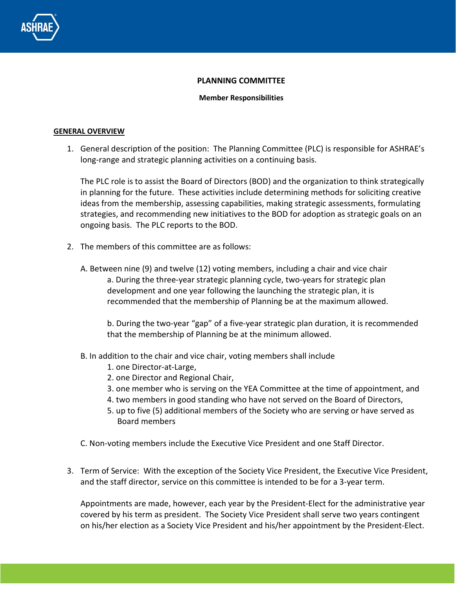

### **PLANNING COMMITTEE**

### **Member Responsibilities**

### **GENERAL OVERVIEW**

1. General description of the position: The Planning Committee (PLC) is responsible for ASHRAE's long-range and strategic planning activities on a continuing basis.

The PLC role is to assist the Board of Directors (BOD) and the organization to think strategically in planning for the future. These activities include determining methods for soliciting creative ideas from the membership, assessing capabilities, making strategic assessments, formulating strategies, and recommending new initiatives to the BOD for adoption as strategic goals on an ongoing basis. The PLC reports to the BOD.

- 2. The members of this committee are as follows:
	- A. Between nine (9) and twelve (12) voting members, including a chair and vice chair a. During the three-year strategic planning cycle, two-years for strategic plan development and one year following the launching the strategic plan, it is recommended that the membership of Planning be at the maximum allowed.

b. During the two-year "gap" of a five-year strategic plan duration, it is recommended that the membership of Planning be at the minimum allowed.

- B. In addition to the chair and vice chair, voting members shall include
	- 1. one Director-at-Large,
	- 2. one Director and Regional Chair,
	- 3. one member who is serving on the YEA Committee at the time of appointment, and
	- 4. two members in good standing who have not served on the Board of Directors,
	- 5. up to five (5) additional members of the Society who are serving or have served as Board members

C. Non-voting members include the Executive Vice President and one Staff Director.

3. Term of Service: With the exception of the Society Vice President, the Executive Vice President, and the staff director, service on this committee is intended to be for a 3-year term.

Appointments are made, however, each year by the President-Elect for the administrative year covered by his term as president. The Society Vice President shall serve two years contingent on his/her election as a Society Vice President and his/her appointment by the President-Elect.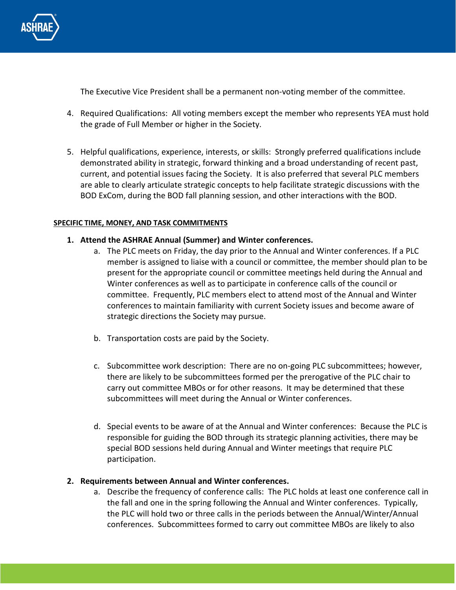

The Executive Vice President shall be a permanent non-voting member of the committee.

- 4. Required Qualifications: All voting members except the member who represents YEA must hold the grade of Full Member or higher in the Society.
- 5. Helpful qualifications, experience, interests, or skills: Strongly preferred qualifications include demonstrated ability in strategic, forward thinking and a broad understanding of recent past, current, and potential issues facing the Society. It is also preferred that several PLC members are able to clearly articulate strategic concepts to help facilitate strategic discussions with the BOD ExCom, during the BOD fall planning session, and other interactions with the BOD.

## **SPECIFIC TIME, MONEY, AND TASK COMMITMENTS**

# **1. Attend the ASHRAE Annual (Summer) and Winter conferences.**

- a. The PLC meets on Friday, the day prior to the Annual and Winter conferences. If a PLC member is assigned to liaise with a council or committee, the member should plan to be present for the appropriate council or committee meetings held during the Annual and Winter conferences as well as to participate in conference calls of the council or committee. Frequently, PLC members elect to attend most of the Annual and Winter conferences to maintain familiarity with current Society issues and become aware of strategic directions the Society may pursue.
- b. Transportation costs are paid by the Society.
- c. Subcommittee work description: There are no on-going PLC subcommittees; however, there are likely to be subcommittees formed per the prerogative of the PLC chair to carry out committee MBOs or for other reasons. It may be determined that these subcommittees will meet during the Annual or Winter conferences.
- d. Special events to be aware of at the Annual and Winter conferences: Because the PLC is responsible for guiding the BOD through its strategic planning activities, there may be special BOD sessions held during Annual and Winter meetings that require PLC participation.

# **2. Requirements between Annual and Winter conferences.**

a. Describe the frequency of conference calls: The PLC holds at least one conference call in the fall and one in the spring following the Annual and Winter conferences. Typically, the PLC will hold two or three calls in the periods between the Annual/Winter/Annual conferences. Subcommittees formed to carry out committee MBOs are likely to also